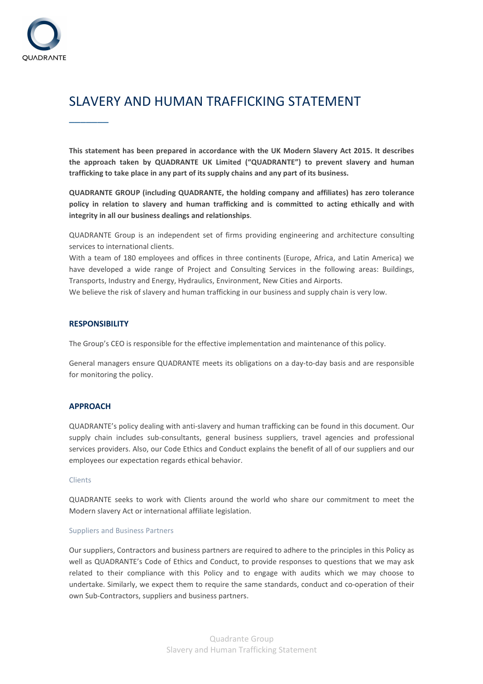

# SLAVERY AND HUMAN TRAFFICKING STATEMENT

**This statement has been prepared in accordance with the UK Modern Slavery Act 2015. It describes the approach taken by QUADRANTE UK Limited ("QUADRANTE") to prevent slavery and human trafficking to take place in any part of its supply chains and any part of its business.** 

**QUADRANTE GROUP (including QUADRANTE, the holding company and affiliates) has zero tolerance policy in relation to slavery and human trafficking and is committed to acting ethically and with integrity in all our business dealings and relationships**.

QUADRANTE Group is an independent set of firms providing engineering and architecture consulting services to international clients.

With a team of 180 employees and offices in three continents (Europe, Africa, and Latin America) we have developed a wide range of Project and Consulting Services in the following areas: Buildings, Transports, Industry and Energy, Hydraulics, Environment, New Cities and Airports.

We believe the risk of slavery and human trafficking in our business and supply chain is very low.

## **RESPONSIBILITY**

 $\overline{\phantom{a}}$ 

The Group's CEO is responsible for the effective implementation and maintenance of this policy.

General managers ensure QUADRANTE meets its obligations on a day-to-day basis and are responsible for monitoring the policy.

# **APPROACH**

QUADRANTE's policy dealing with anti-slavery and human trafficking can be found in this document. Our supply chain includes sub-consultants, general business suppliers, travel agencies and professional services providers. Also, our Code Ethics and Conduct explains the benefit of all of our suppliers and our employees our expectation regards ethical behavior.

### Clients

QUADRANTE seeks to work with Clients around the world who share our commitment to meet the Modern slavery Act or international affiliate legislation.

#### Suppliers and Business Partners

Our suppliers, Contractors and business partners are required to adhere to the principles in this Policy as well as QUADRANTE's Code of Ethics and Conduct, to provide responses to questions that we may ask related to their compliance with this Policy and to engage with audits which we may choose to undertake. Similarly, we expect them to require the same standards, conduct and co-operation of their own Sub-Contractors, suppliers and business partners.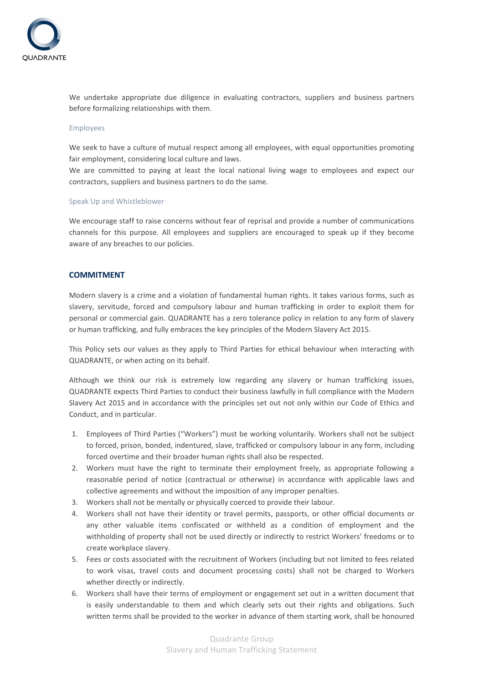

We undertake appropriate due diligence in evaluating contractors, suppliers and business partners before formalizing relationships with them.

#### Employees

We seek to have a culture of mutual respect among all employees, with equal opportunities promoting fair employment, considering local culture and laws.

We are committed to paying at least the local national living wage to employees and expect our contractors, suppliers and business partners to do the same.

#### Speak Up and Whistleblower

We encourage staff to raise concerns without fear of reprisal and provide a number of communications channels for this purpose. All employees and suppliers are encouraged to speak up if they become aware of any breaches to our policies.

# **COMMITMENT**

Modern slavery is a crime and a violation of fundamental human rights. It takes various forms, such as slavery, servitude, forced and compulsory labour and human trafficking in order to exploit them for personal or commercial gain. QUADRANTE has a zero tolerance policy in relation to any form of slavery or human trafficking, and fully embraces the key principles of the Modern Slavery Act 2015.

This Policy sets our values as they apply to Third Parties for ethical behaviour when interacting with QUADRANTE, or when acting on its behalf.

Although we think our risk is extremely low regarding any slavery or human trafficking issues, QUADRANTE expects Third Parties to conduct their business lawfully in full compliance with the Modern Slavery Act 2015 and in accordance with the principles set out not only within our Code of Ethics and Conduct, and in particular.

- 1. Employees of Third Parties ("Workers") must be working voluntarily. Workers shall not be subject to forced, prison, bonded, indentured, slave, trafficked or compulsory labour in any form, including forced overtime and their broader human rights shall also be respected.
- 2. Workers must have the right to terminate their employment freely, as appropriate following a reasonable period of notice (contractual or otherwise) in accordance with applicable laws and collective agreements and without the imposition of any improper penalties.
- 3. Workers shall not be mentally or physically coerced to provide their labour.
- 4. Workers shall not have their identity or travel permits, passports, or other official documents or any other valuable items confiscated or withheld as a condition of employment and the withholding of property shall not be used directly or indirectly to restrict Workers' freedoms or to create workplace slavery.
- 5. Fees or costs associated with the recruitment of Workers (including but not limited to fees related to work visas, travel costs and document processing costs) shall not be charged to Workers whether directly or indirectly.
- 6. Workers shall have their terms of employment or engagement set out in a written document that is easily understandable to them and which clearly sets out their rights and obligations. Such written terms shall be provided to the worker in advance of them starting work, shall be honoured